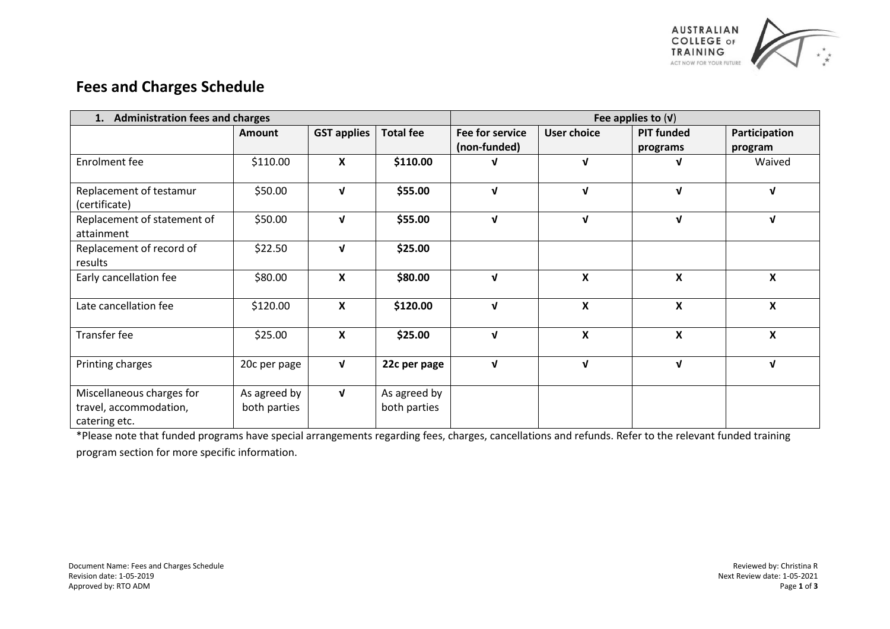

## **Fees and Charges Schedule**

| <b>Administration fees and charges</b><br>1.                         |                              |                    |                              | Fee applies to $(V)$                   |                           |                               |                           |
|----------------------------------------------------------------------|------------------------------|--------------------|------------------------------|----------------------------------------|---------------------------|-------------------------------|---------------------------|
|                                                                      | <b>Amount</b>                | <b>GST applies</b> | <b>Total fee</b>             | <b>Fee for service</b><br>(non-funded) | <b>User choice</b>        | <b>PIT funded</b><br>programs | Participation<br>program  |
| Enrolment fee                                                        | \$110.00                     | X                  | \$110.00                     | ν                                      | $\mathbf{v}$              | V                             | Waived                    |
| Replacement of testamur<br>(certificate)                             | \$50.00                      | $\mathbf{v}$       | \$55.00                      | $\mathbf v$                            | $\mathbf v$               | $\mathbf{v}$                  | $\mathbf{v}$              |
| Replacement of statement of<br>attainment                            | \$50.00                      | $\mathbf v$        | \$55.00                      | $\mathbf v$                            | V                         | $\mathbf v$                   | $\mathbf{v}$              |
| Replacement of record of<br>results                                  | \$22.50                      | $\mathbf{v}$       | \$25.00                      |                                        |                           |                               |                           |
| Early cancellation fee                                               | \$80.00                      | $\pmb{\mathsf{X}}$ | \$80.00                      | $\mathbf{v}$                           | $\pmb{\mathsf{X}}$        | $\boldsymbol{x}$              | $\boldsymbol{\mathsf{x}}$ |
| Late cancellation fee                                                | \$120.00                     | X                  | \$120.00                     | $\mathbf{V}$                           | $\boldsymbol{\mathsf{x}}$ | X                             | X                         |
| Transfer fee                                                         | \$25.00                      | X                  | \$25.00                      | $\mathbf v$                            | $\pmb{\mathsf{X}}$        | $\pmb{\mathsf{X}}$            | X                         |
| Printing charges                                                     | 20c per page                 | $\sqrt{ }$         | 22c per page                 | $\sqrt{ }$                             | $\mathbf v$               | $\mathbf{v}$                  | $\mathbf{v}$              |
| Miscellaneous charges for<br>travel, accommodation,<br>catering etc. | As agreed by<br>both parties | $\mathbf{v}$       | As agreed by<br>both parties |                                        |                           |                               |                           |

\*Please note that funded programs have special arrangements regarding fees, charges, cancellations and refunds. Refer to the relevant funded training program section for more specific information.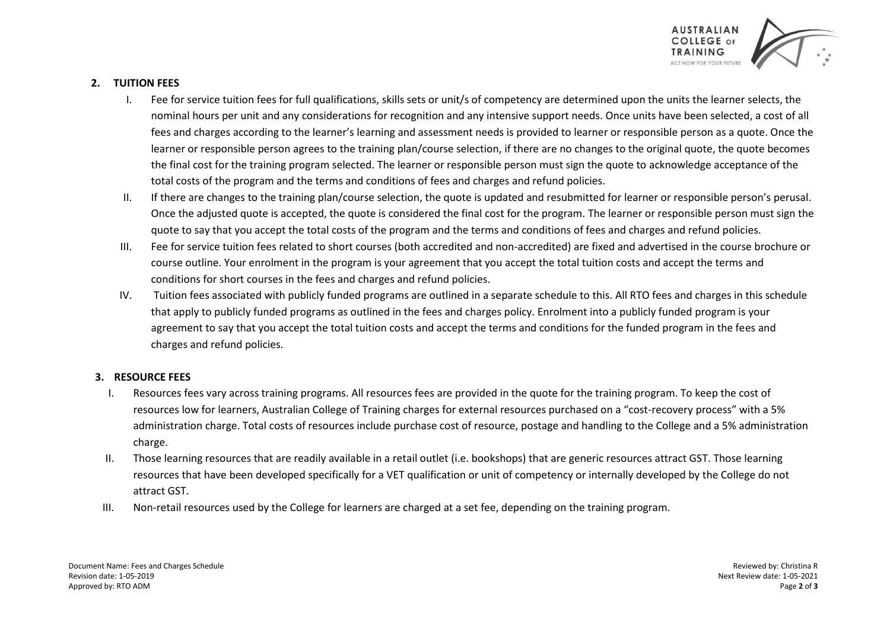

## **2. TUITION FEES**

- I. Fee for service tuition fees for full qualifications, skills sets or unit/s of competency are determined upon the units the learner selects, the nominal hours per unit and any considerations for recognition and any intensive support needs. Once units have been selected, a cost of all fees and charges according to the learner's learning and assessment needs is provided to learner or responsible person as a quote. Once the learner or responsible person agrees to the training plan/course selection, if there are no changes to the original quote, the quote becomes the final cost for the training program selected. The learner or responsible person must sign the quote to acknowledge acceptance of the total costs of the program and the terms and conditions of fees and charges and refund policies.
- II. If there are changes to the training plan/course selection, the quote is updated and resubmitted for learner or responsible person's perusal. Once the adjusted quote is accepted, the quote is considered the final cost for the program. The learner or responsible person must sign the quote to say that you accept the total costs of the program and the terms and conditions of fees and charges and refund policies.
- III. Fee for service tuition fees related to short courses (both accredited and non-accredited) are fixed and advertised in the course brochure or course outline. Your enrolment in the program is your agreement that you accept the total tuition costs and accept the terms and conditions for short courses in the fees and charges and refund policies.
- IV. Tuition fees associated with publicly funded programs are outlined in a separate schedule to this. All RTO fees and charges in this schedule that apply to publicly funded programs as outlined in the fees and charges policy. Enrolment into a publicly funded program is your agreement to say that you accept the total tuition costs and accept the terms and conditions for the funded program in the fees and charges and refund policies.

## **3. RESOURCE FEES**

- I. Resources fees vary across training programs. All resources fees are provided in the quote for the training program. To keep the cost of resources low for learners, Australian College of Training charges for external resources purchased on a "cost-recovery process" with a 5% administration charge. Total costs of resources include purchase cost of resource, postage and handling to the College and a 5% administration charge.
- II. Those learning resources that are readily available in a retail outlet (i.e. bookshops) that are generic resources attract GST. Those learning resources that have been developed specifically for a VET qualification or unit of competency or internally developed by the College do not attract GST.
- III. Non-retail resources used by the College for learners are charged at a set fee, depending on the training program.